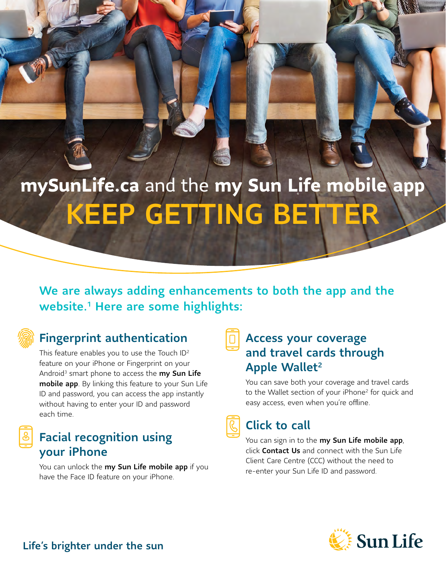# **[mySunLife.ca](http://mySunLife.ca)** and the **my Sun Life mobile app** KEEP GETTING BETTER

We are always adding enhancements to both the app and the website.<sup>1</sup> Here are some highlights:

# Fingerprint authentication

This feature enables you to use the Touch ID<sup>2</sup> feature on your iPhone or Fingerprint on your Android<sup>3</sup> smart phone to access the  $my$  Sun Life mobile app. By linking this feature to your Sun Life ID and password, you can access the app instantly without having to enter your ID and password each time.

### Facial recognition using your iPhone

You can unlock the my Sun Life mobile app if you have the Face ID feature on your iPhone.

# Access your coverage and travel cards through Apple Wallet<sup>2</sup>

You can save both your coverage and travel cards to the Wallet section of your iPhone<sup>2</sup> for quick and easy access, even when you're offline.

Click to call

You can sign in to the my Sun Life mobile app, click **Contact Us** and connect with the Sun Life Client Care Centre (CCC) without the need to re-enter your Sun Life ID and password.



Life's brighter under the sun